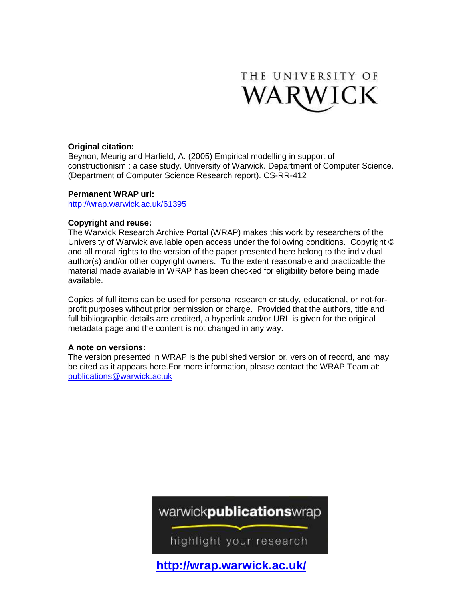

# **Original citation:**

Beynon, Meurig and Harfield, A. (2005) Empirical modelling in support of constructionism : a case study. University of Warwick. Department of Computer Science. (Department of Computer Science Research report). CS-RR-412

# **Permanent WRAP url:**

<http://wrap.warwick.ac.uk/61395>

# **Copyright and reuse:**

The Warwick Research Archive Portal (WRAP) makes this work by researchers of the University of Warwick available open access under the following conditions. Copyright © and all moral rights to the version of the paper presented here belong to the individual author(s) and/or other copyright owners. To the extent reasonable and practicable the material made available in WRAP has been checked for eligibility before being made available.

Copies of full items can be used for personal research or study, educational, or not-forprofit purposes without prior permission or charge. Provided that the authors, title and full bibliographic details are credited, a hyperlink and/or URL is given for the original metadata page and the content is not changed in any way.

# **A note on versions:**

The version presented in WRAP is the published version or, version of record, and may be cited as it appears here.For more information, please contact the WRAP Team at: [publications@warwick.ac.uk](mailto:publications@warwick.ac.uk)

# warwickpublicationswrap

highlight your research

**<http://wrap.warwick.ac.uk/>**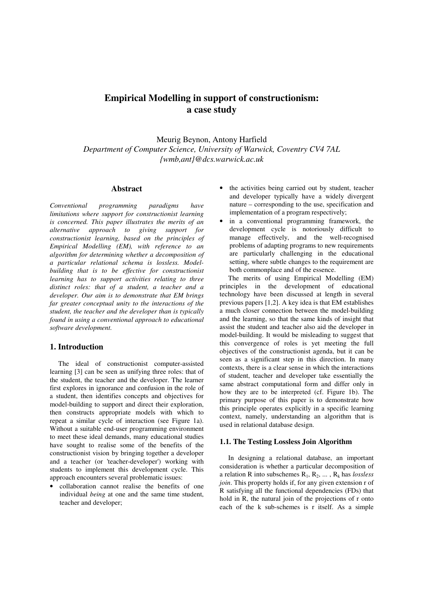# **Empirical Modelling in support of constructionism: a case study**

Meurig Beynon, Antony Harfield *Department of Computer Science, University of Warwick, Coventry CV4 7AL {wmb,ant}@dcs.warwick.ac.uk* 

#### **Abstract**

*Conventional programming paradigms have limitations where support for constructionist learning is concerned. This paper illustrates the merits of an alternative approach to giving support for constructionist learning, based on the principles of Empirical Modelling (EM), with reference to an algorithm for determining whether a decomposition of a particular relational schema is lossless. Modelbuilding that is to be effective for constructionist learning has to support activities relating to three distinct roles: that of a student, a teacher and a developer. Our aim is to demonstrate that EM brings far greater conceptual unity to the interactions of the student, the teacher and the developer than is typically found in using a conventional approach to educational software development.* 

#### **1. Introduction**

The ideal of constructionist computer-assisted learning [3] can be seen as unifying three roles: that of the student, the teacher and the developer. The learner first explores in ignorance and confusion in the role of a student, then identifies concepts and objectives for model-building to support and direct their exploration, then constructs appropriate models with which to repeat a similar cycle of interaction (see Figure 1a). Without a suitable end-user programming environment to meet these ideal demands, many educational studies have sought to realise some of the benefits of the constructionist vision by bringing together a developer and a teacher (or 'teacher-developer') working with students to implement this development cycle. This approach encounters several problematic issues:

• collaboration cannot realise the benefits of one individual *being* at one and the same time student, teacher and developer;

- the activities being carried out by student, teacher and developer typically have a widely divergent nature – corresponding to the use, specification and implementation of a program respectively;
- in a conventional programming framework, the development cycle is notoriously difficult to manage effectively, and the well-recognised problems of adapting programs to new requirements are particularly challenging in the educational setting, where subtle changes to the requirement are both commonplace and of the essence.

The merits of using Empirical Modelling (EM) principles in the development of educational technology have been discussed at length in several previous papers [1,2]. A key idea is that EM establishes a much closer connection between the model-building and the learning, so that the same kinds of insight that assist the student and teacher also aid the developer in model-building. It would be misleading to suggest that this convergence of roles is yet meeting the full objectives of the constructionist agenda, but it can be seen as a significant step in this direction. In many contexts, there is a clear sense in which the interactions of student, teacher and developer take essentially the same abstract computational form and differ only in how they are to be interpreted (cf. Figure 1b). The primary purpose of this paper is to demonstrate how this principle operates explicitly in a specific learning context, namely, understanding an algorithm that is used in relational database design.

#### **1.1. The Testing Lossless Join Algorithm**

In designing a relational database, an important consideration is whether a particular decomposition of a relation R into subschemes  $R_1, R_2, \ldots, R_k$  has *lossless join*. This property holds if, for any given extension r of R satisfying all the functional dependencies (FDs) that hold in R, the natural join of the projections of r onto each of the k sub-schemes is r itself. As a simple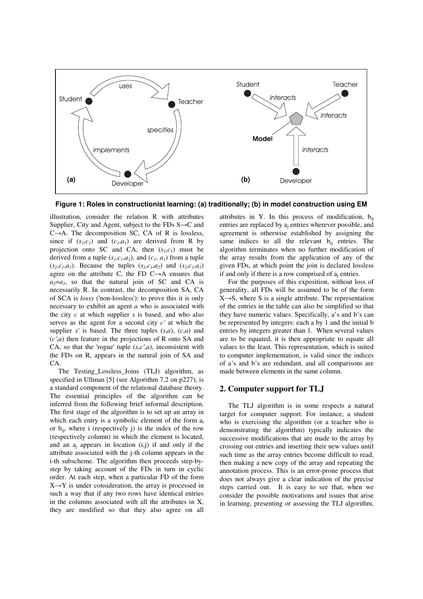

**Figure 1: Roles in constructionist learning: (a) traditionally; (b) in model construction using EM**

illustration, consider the relation R with attributes Supplier, City and Agent, subject to the FDs  $S \rightarrow C$  and  $C\rightarrow A$ . The decomposition SC, CA of R is lossless, since if  $(s<sub>1</sub>,c<sub>1</sub>)$  and  $(c<sub>1</sub>,a<sub>1</sub>)$  are derived from R by projection onto SC and CA, then  $(s<sub>1</sub>, c<sub>1</sub>)$  must be derived from a tuple  $(s_1, c_1, a_2)$ , and  $(c_1, a_1)$  from a tuple  $(s_1, c_1, a_1)$ . Because the tuples  $(s_1, c_1, a_2)$  and  $(s_2, c_1, a_1)$ agree on the attribute C, the FD  $C \rightarrow A$  ensures that  $a_2=a_1$ , so that the natural join of SC and CA is necessarily R. In contrast, the decomposition SA, CA of SCA is *lossy* ('non-lossless'): to prove this it is only necessary to exhibit an agent *a* who is associated with the city *c* at which supplier *s* is based, and who also serves as the agent for a second city *c'* at which the supplier *s'* is based. The three tuples  $(s,a)$ ,  $(c,a)$  and (*c'*,*a*) then feature in the projections of R onto SA and CA, so that the 'rogue' tuple (*s*,*c'*,*a*), inconsistent with the FDs on R, appears in the natural join of SA and CA.

The Testing\_Lossless\_Joins (TLJ) algorithm, as specified in Ullman [5] (see Algorithm 7.2 on p227), is a standard component of the relational database theory. The essential principles of the algorithm can be inferred from the following brief informal description. The first stage of the algorithm is to set up an array in which each entry is a symbolic element of the form  $a_i$ or  $b_{ii}$ , where i (respectively j) is the index of the row (respectively column) in which the element is located, and an  $a_j$  appears in location  $(i,j)$  if and only if the attribute associated with the j-th column appears in the i-th subscheme. The algorithm then proceeds step-bystep by taking account of the FDs in turn in cyclic order. At each step, when a particular FD of the form  $X \rightarrow Y$  is under consideration, the array is processed in such a way that if any two rows have identical entries in the columns associated with all the attributes in X, they are modified so that they also agree on all

attributes in Y. In this process of modification,  $b_{ii}$ entries are replaced by a<sub>j</sub> entries wherever possible, and agreement is otherwise established by assigning the same indices to all the relevant  $b_{ii}$  entries. The algorithm terminates when no further modification of the array results from the application of any of the given FDs, at which point the join is declared lossless if and only if there is a row comprised of  $a_j$  entries.

For the purposes of this exposition, without loss of generality, all FDs will be assumed to be of the form  $X \rightarrow S$ , where S is a single attribute. The representation of the entries in the table can also be simplified so that they have numeric values. Specifically, a's and b's can be represented by integers: each a by 1 and the initial b entries by integers greater than 1. When several values are to be equated, it is then appropriate to equate all values to the least. This representation, which is suited to computer implementation, is valid since the indices of a's and b's are redundant, and all comparisons are made between elements in the same column.

#### **2. Computer support for TLJ**

The TLJ algorithm is in some respects a natural target for computer support. For instance, a student who is exercising the algorithm (or a teacher who is demonstrating the algorithm) typically indicates the successive modifications that are made to the array by crossing out entries and inserting their new values until such time as the array entries become difficult to read, then making a new copy of the array and repeating the annotation process. This is an error-prone process that does not always give a clear indication of the precise steps carried out. It is easy to see that, when we consider the possible motivations and issues that arise in learning, presenting or assessing the TLJ algorithm,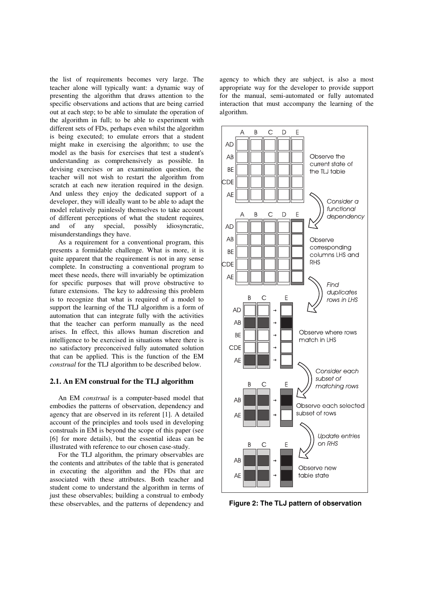the list of requirements becomes very large. The teacher alone will typically want: a dynamic way of presenting the algorithm that draws attention to the specific observations and actions that are being carried out at each step; to be able to simulate the operation of the algorithm in full; to be able to experiment with different sets of FDs, perhaps even whilst the algorithm is being executed; to emulate errors that a student might make in exercising the algorithm; to use the model as the basis for exercises that test a student's understanding as comprehensively as possible. In devising exercises or an examination question, the teacher will not wish to restart the algorithm from scratch at each new iteration required in the design. And unless they enjoy the dedicated support of a developer, they will ideally want to be able to adapt the model relatively painlessly themselves to take account of different perceptions of what the student requires, and of any special, possibly idiosyncratic, misunderstandings they have.

As a requirement for a conventional program, this presents a formidable challenge. What is more, it is quite apparent that the requirement is not in any sense complete. In constructing a conventional program to meet these needs, there will invariably be optimization for specific purposes that will prove obstructive to future extensions. The key to addressing this problem is to recognize that what is required of a model to support the learning of the TLJ algorithm is a form of automation that can integrate fully with the activities that the teacher can perform manually as the need arises. In effect, this allows human discretion and intelligence to be exercised in situations where there is no satisfactory preconceived fully automated solution that can be applied. This is the function of the EM *construal* for the TLJ algorithm to be described below.

#### **2.1. An EM construal for the TLJ algorithm**

An EM *construal* is a computer-based model that embodies the patterns of observation, dependency and agency that are observed in its referent [1]. A detailed account of the principles and tools used in developing construals in EM is beyond the scope of this paper (see [6] for more details), but the essential ideas can be illustrated with reference to our chosen case-study.

For the TLJ algorithm, the primary observables are the contents and attributes of the table that is generated in executing the algorithm and the FDs that are associated with these attributes. Both teacher and student come to understand the algorithm in terms of just these observables; building a construal to embody these observables, and the patterns of dependency and

agency to which they are subject, is also a most appropriate way for the developer to provide support for the manual, semi-automated or fully automated interaction that must accompany the learning of the algorithm.



**Figure 2: The TLJ pattern of observation**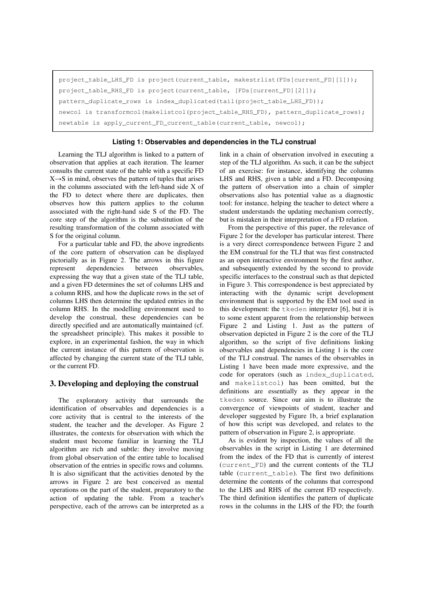```
project_table_LHS_FD is project(current_table, makestrlist(FDs[current_FD][1]));
project_table_RHS_FD is project(current_table, [FDs[current_FD][2]]); 
pattern_duplicate_rows is index_duplicated(tail(project_table_LHS_FD)); 
newcol is transformcol(makelistcol(project_table_RHS_FD), pattern_duplicate_rows); 
newtable is apply_current_FD_current_table(current_table, newcol);
```
#### **Listing 1: Observables and dependencies in the TLJ construal**

Learning the TLJ algorithm is linked to a pattern of observation that applies at each iteration. The learner consults the current state of the table with a specific FD  $X \rightarrow S$  in mind, observes the pattern of tuples that arises in the columns associated with the left-hand side X of the FD to detect where there are duplicates, then observes how this pattern applies to the column associated with the right-hand side S of the FD. The core step of the algorithm is the substitution of the resulting transformation of the column associated with S for the original column.

For a particular table and FD, the above ingredients of the core pattern of observation can be displayed pictorially as in Figure 2. The arrows in this figure represent dependencies between observables, expressing the way that a given state of the TLJ table, and a given FD determines the set of columns LHS and a column RHS, and how the duplicate rows in the set of columns LHS then determine the updated entries in the column RHS. In the modelling environment used to develop the construal, these dependencies can be directly specified and are automatically maintained (cf. the spreadsheet principle). This makes it possible to explore, in an experimental fashion, the way in which the current instance of this pattern of observation is affected by changing the current state of the TLJ table, or the current FD.

#### **3. Developing and deploying the construal**

The exploratory activity that surrounds the identification of observables and dependencies is a core activity that is central to the interests of the student, the teacher and the developer. As Figure 2 illustrates, the contexts for observation with which the student must become familiar in learning the TLJ algorithm are rich and subtle: they involve moving from global observation of the entire table to localised observation of the entries in specific rows and columns. It is also significant that the activities denoted by the arrows in Figure 2 are best conceived as mental operations on the part of the student, preparatory to the action of updating the table. From a teacher's perspective, each of the arrows can be interpreted as a link in a chain of observation involved in executing a step of the TLJ algorithm. As such, it can be the subject of an exercise: for instance, identifying the columns LHS and RHS, given a table and a FD. Decomposing the pattern of observation into a chain of simpler observations also has potential value as a diagnostic tool: for instance, helping the teacher to detect where a student understands the updating mechanism correctly, but is mistaken in their interpretation of a FD relation.

From the perspective of this paper, the relevance of Figure 2 for the developer has particular interest. There is a very direct correspondence between Figure 2 and the EM construal for the TLJ that was first constructed as an open interactive environment by the first author, and subsequently extended by the second to provide specific interfaces to the construal such as that depicted in Figure 3. This correspondence is best appreciated by interacting with the dynamic script development environment that is supported by the EM tool used in this development: the tkeden interpreter [6], but it is to some extent apparent from the relationship between Figure 2 and Listing 1. Just as the pattern of observation depicted in Figure 2 is the core of the TLJ algorithm, so the script of five definitions linking observables and dependencies in Listing 1 is the core of the TLJ construal. The names of the observables in Listing 1 have been made more expressive, and the code for operators (such as index\_duplicated, and makelistcol) has been omitted, but the definitions are essentially as they appear in the tkeden source. Since our aim is to illustrate the convergence of viewpoints of student, teacher and developer suggested by Figure 1b, a brief explanation of how this script was developed, and relates to the pattern of observation in Figure 2, is appropriate.

As is evident by inspection, the values of all the observables in the script in Listing 1 are determined from the index of the FD that is currently of interest (current\_FD) and the current contents of the TLJ table (current\_table). The first two definitions determine the contents of the columns that correspond to the LHS and RHS of the current FD respectively. The third definition identifies the pattern of duplicate rows in the columns in the LHS of the FD; the fourth